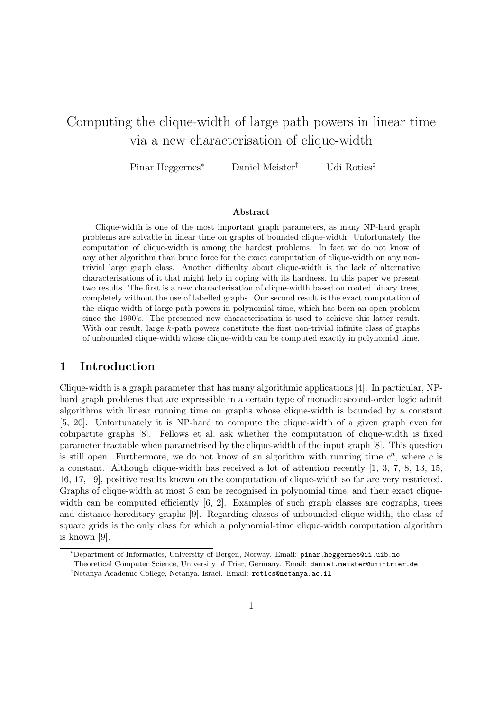# Computing the clique-width of large path powers in linear time via a new characterisation of clique-width

Pinar Heggernes*<sup>∗</sup>* Daniel Meister*†* Udi Rotics*‡*

#### **Abstract**

Clique-width is one of the most important graph parameters, as many NP-hard graph problems are solvable in linear time on graphs of bounded clique-width. Unfortunately the computation of clique-width is among the hardest problems. In fact we do not know of any other algorithm than brute force for the exact computation of clique-width on any nontrivial large graph class. Another difficulty about clique-width is the lack of alternative characterisations of it that might help in coping with its hardness. In this paper we present two results. The first is a new characterisation of clique-width based on rooted binary trees, completely without the use of labelled graphs. Our second result is the exact computation of the clique-width of large path powers in polynomial time, which has been an open problem since the 1990's. The presented new characterisation is used to achieve this latter result. With our result, large *k*-path powers constitute the first non-trivial infinite class of graphs of unbounded clique-width whose clique-width can be computed exactly in polynomial time.

## **1 Introduction**

Clique-width is a graph parameter that has many algorithmic applications [4]. In particular, NPhard graph problems that are expressible in a certain type of monadic second-order logic admit algorithms with linear running time on graphs whose clique-width is bounded by a constant [5, 20]. Unfortunately it is NP-hard to compute the clique-width of a given graph even for cobipartite graphs [8]. Fellows et al. ask whether the computation of clique-width is fixed parameter tractable when parametrised by the clique-width of the input graph [8]. This question is still open. Furthermore, we do not know of an algorithm with running time  $c^n$ , where c is a constant. Although clique-width has received a lot of attention recently [1, 3, 7, 8, 13, 15, 16, 17, 19], positive results known on the computation of clique-width so far are very restricted. Graphs of clique-width at most 3 can be recognised in polynomial time, and their exact cliquewidth can be computed efficiently  $[6, 2]$ . Examples of such graph classes are cographs, trees and distance-hereditary graphs [9]. Regarding classes of unbounded clique-width, the class of square grids is the only class for which a polynomial-time clique-width computation algorithm is known [9].

*<sup>∗</sup>*Department of Informatics, University of Bergen, Norway. Email: pinar.heggernes@ii.uib.no

*<sup>†</sup>*Theoretical Computer Science, University of Trier, Germany. Email: daniel.meister@uni-trier.de

*<sup>‡</sup>*Netanya Academic College, Netanya, Israel. Email: rotics@netanya.ac.il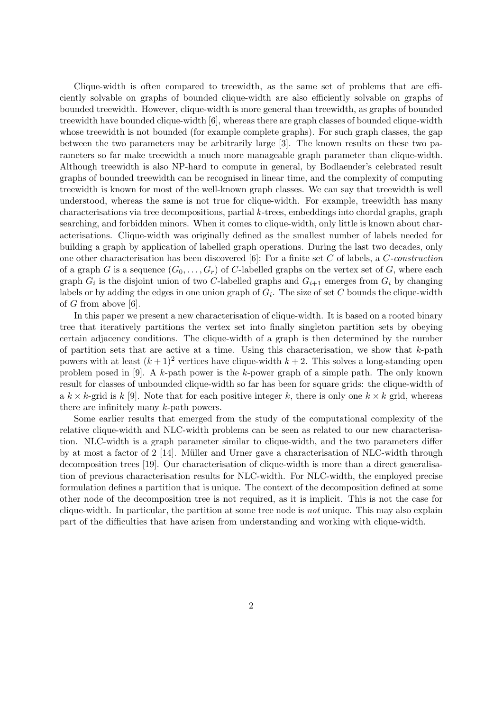Clique-width is often compared to treewidth, as the same set of problems that are efficiently solvable on graphs of bounded clique-width are also efficiently solvable on graphs of bounded treewidth. However, clique-width is more general than treewidth, as graphs of bounded treewidth have bounded clique-width [6], whereas there are graph classes of bounded clique-width whose treewidth is not bounded (for example complete graphs). For such graph classes, the gap between the two parameters may be arbitrarily large [3]. The known results on these two parameters so far make treewidth a much more manageable graph parameter than clique-width. Although treewidth is also NP-hard to compute in general, by Bodlaender's celebrated result graphs of bounded treewidth can be recognised in linear time, and the complexity of computing treewidth is known for most of the well-known graph classes. We can say that treewidth is well understood, whereas the same is not true for clique-width. For example, treewidth has many characterisations via tree decompositions, partial *k*-trees, embeddings into chordal graphs, graph searching, and forbidden minors. When it comes to clique-width, only little is known about characterisations. Clique-width was originally defined as the smallest number of labels needed for building a graph by application of labelled graph operations. During the last two decades, only one other characterisation has been discovered [6]: For a finite set *C* of labels, a *C-construction* of a graph *G* is a sequence  $(G_0, \ldots, G_r)$  of *C*-labelled graphs on the vertex set of *G*, where each graph  $G_i$  is the disjoint union of two *C*-labelled graphs and  $G_{i+1}$  emerges from  $G_i$  by changing labels or by adding the edges in one union graph of  $G_i$ . The size of set  $C$  bounds the clique-width of *G* from above [6].

In this paper we present a new characterisation of clique-width. It is based on a rooted binary tree that iteratively partitions the vertex set into finally singleton partition sets by obeying certain adjacency conditions. The clique-width of a graph is then determined by the number of partition sets that are active at a time. Using this characterisation, we show that *k*-path powers with at least  $(k+1)^2$  vertices have clique-width  $k+2$ . This solves a long-standing open problem posed in [9]. A *k*-path power is the *k*-power graph of a simple path. The only known result for classes of unbounded clique-width so far has been for square grids: the clique-width of a  $k \times k$ -grid is  $k$  [9]. Note that for each positive integer k, there is only one  $k \times k$  grid, whereas there are infinitely many *k*-path powers.

Some earlier results that emerged from the study of the computational complexity of the relative clique-width and NLC-width problems can be seen as related to our new characterisation. NLC-width is a graph parameter similar to clique-width, and the two parameters differ by at most a factor of  $2 \lfloor 14 \rfloor$ . Müller and Urner gave a characterisation of NLC-width through decomposition trees [19]. Our characterisation of clique-width is more than a direct generalisation of previous characterisation results for NLC-width. For NLC-width, the employed precise formulation defines a partition that is unique. The context of the decomposition defined at some other node of the decomposition tree is not required, as it is implicit. This is not the case for clique-width. In particular, the partition at some tree node is *not* unique. This may also explain part of the difficulties that have arisen from understanding and working with clique-width.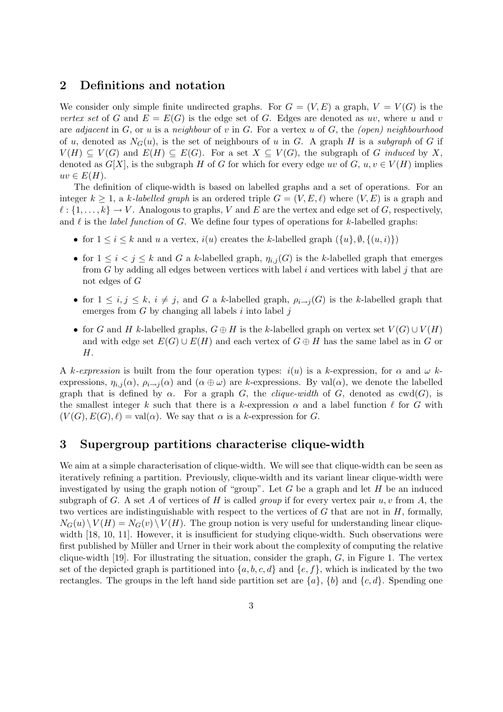## **2 Definitions and notation**

We consider only simple finite undirected graphs. For  $G = (V, E)$  a graph,  $V = V(G)$  is the *vertex set* of *G* and  $E = E(G)$  is the edge set of *G*. Edges are denoted as *uv*, where *u* and *v* are *adjacent* in *G*, or *u* is a *neighbour* of *v* in *G*. For a vertex *u* of *G*, the *(open) neighbourhood* of *u*, denoted as  $N_G(u)$ , is the set of neighbours of *u* in *G*. A graph *H* is a *subgraph* of *G* if  $V(H) \subseteq V(G)$  and  $E(H) \subseteq E(G)$ . For a set  $X \subseteq V(G)$ , the subgraph of *G induced* by *X*, denoted as  $G[X]$ , is the subgraph *H* of *G* for which for every edge *uv* of *G*,  $u, v \in V(H)$  implies  $uv \in E(H)$ .

The definition of clique-width is based on labelled graphs and a set of operations. For an integer  $k \geq 1$ , a *k*-labelled graph is an ordered triple  $G = (V, E, \ell)$  where  $(V, E)$  is a graph and  $\ell : \{1, \ldots, k\} \to V$ . Analogous to graphs, *V* and *E* are the vertex and edge set of *G*, respectively, and  $\ell$  is the *label function* of  $G$ . We define four types of operations for  $k$ -labelled graphs:

- for  $1 \leq i \leq k$  and *u* a vertex,  $i(u)$  creates the *k*-labelled graph  $({u}, \emptyset, \{(u, i)\})$
- for  $1 \leq i < j \leq k$  and *G* a *k*-labelled graph,  $\eta_{i,j}(G)$  is the *k*-labelled graph that emerges from *G* by adding all edges between vertices with label *i* and vertices with label *j* that are not edges of *G*
- for  $1 \leq i, j \leq k$ ,  $i \neq j$ , and *G* a *k*-labelled graph,  $\rho_{i \to j}(G)$  is the *k*-labelled graph that emerges from *G* by changing all labels *i* into label *j*
- for *G* and *H* k-labelled graphs,  $G \oplus H$  is the k-labelled graph on vertex set  $V(G) \cup V(H)$ and with edge set  $E(G) \cup E(H)$  and each vertex of  $G \oplus H$  has the same label as in G or *H*.

A *k-expression* is built from the four operation types: *i*(*u*) is a *k*-expression, for *α* and *ω k*expressions,  $\eta_{i,j}(\alpha)$ ,  $\rho_{i\to j}(\alpha)$  and  $(\alpha \oplus \omega)$  are *k*-expressions. By val $(\alpha)$ , we denote the labelled graph that is defined by  $\alpha$ . For a graph *G*, the *clique-width* of *G*, denoted as  $\text{cw}(G)$ , is the smallest integer *k* such that there is a *k*-expression  $\alpha$  and a label function  $\ell$  for *G* with  $(V(G), E(G), \ell) = \text{val}(\alpha)$ . We say that  $\alpha$  is a *k*-expression for *G*.

## **3 Supergroup partitions characterise clique-width**

We aim at a simple characterisation of clique-width. We will see that clique-width can be seen as iteratively refining a partition. Previously, clique-width and its variant linear clique-width were investigated by using the graph notion of "group". Let *G* be a graph and let *H* be an induced subgraph of *G*. A set *A* of vertices of *H* is called *group* if for every vertex pair  $u, v$  from *A*, the two vertices are indistinguishable with respect to the vertices of *G* that are not in *H*, formally,  $N_G(u) \setminus V(H) = N_G(v) \setminus V(H)$ . The group notion is very useful for understanding linear cliquewidth [18, 10, 11]. However, it is insufficient for studying clique-width. Such observations were first published by Müller and Urner in their work about the complexity of computing the relative clique-width [19]. For illustrating the situation, consider the graph, *G*, in Figure 1. The vertex set of the depicted graph is partitioned into  $\{a, b, c, d\}$  and  $\{e, f\}$ , which is indicated by the two rectangles. The groups in the left hand side partition set are  $\{a\}$ ,  $\{b\}$  and  $\{c, d\}$ . Spending one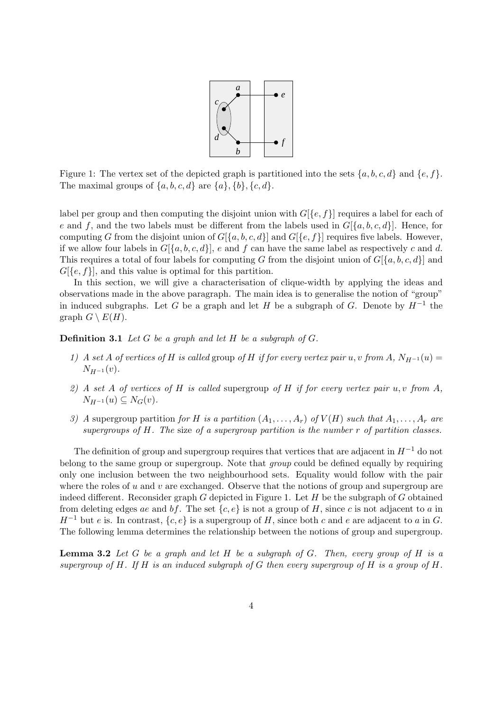

Figure 1: The vertex set of the depicted graph is partitioned into the sets  $\{a, b, c, d\}$  and  $\{e, f\}$ . The maximal groups of  $\{a, b, c, d\}$  are  $\{a\}, \{b\}, \{c, d\}$ .

label per group and then computing the disjoint union with  $G[\{e, f\}]$  requires a label for each of *e* and *f*, and the two labels must be different from the labels used in  $G[\{a, b, c, d\}]$ . Hence, for computing *G* from the disjoint union of  $G[\{a, b, c, d\}]$  and  $G[\{e, f\}]$  requires five labels. However, if we allow four labels in  $G[\{a, b, c, d\}]$ , *e* and *f* can have the same label as respectively *c* and *d*. This requires a total of four labels for computing *G* from the disjoint union of *G*[*{a, b, c, d}*] and  $G[\{e, f\}]$ , and this value is optimal for this partition.

In this section, we will give a characterisation of clique-width by applying the ideas and observations made in the above paragraph. The main idea is to generalise the notion of "group" in induced subgraphs. Let *G* be a graph and let *H* be a subgraph of *G*. Denote by  $H^{-1}$  the graph  $G \setminus E(H)$ .

**Definition 3.1** *Let G be a graph and let H be a subgraph of G.*

- *1) A set A of vertices of H is called* group *of H if for every vertex pair u, v from A*,  $N_{H^{-1}}(u) =$  $N_{H-1}(v)$ .
- *2) A set A of vertices of H is called* supergroup *of H if for every vertex pair u, v from A,*  $N_{H-1}(u) \subseteq N_G(v)$ .
- *3)* A supergroup partition *for H is a partition*  $(A_1, \ldots, A_r)$  *of*  $V(H)$  *such that*  $A_1, \ldots, A_r$  *are supergroups of H. The* size *of a supergroup partition is the number r of partition classes.*

The definition of group and supergroup requires that vertices that are adjacent in *H−*<sup>1</sup> do not belong to the same group or supergroup. Note that *group* could be defined equally by requiring only one inclusion between the two neighbourhood sets. Equality would follow with the pair where the roles of *u* and *v* are exchanged. Observe that the notions of group and supergroup are indeed different. Reconsider graph *G* depicted in Figure 1. Let *H* be the subgraph of *G* obtained from deleting edges *ae* and *bf*. The set  $\{c, e\}$  is not a group of *H*, since *c* is not adjacent to *a* in *H*<sup>−1</sup> but *e* is. In contrast,  $\{c, e\}$  is a supergroup of *H*, since both *c* and *e* are adjacent to *a* in *G*. The following lemma determines the relationship between the notions of group and supergroup.

**Lemma 3.2** *Let G be a graph and let H be a subgraph of G. Then, every group of H is a supergroup of H. If H is an induced subgraph of G then every supergroup of H is a group of H.*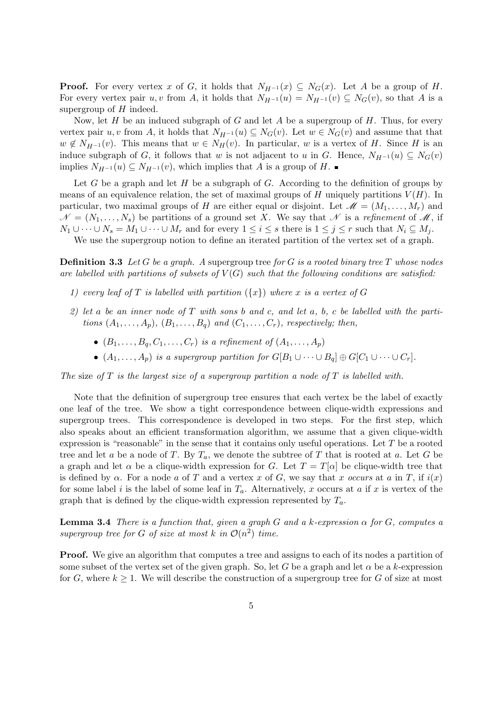**Proof.** For every vertex *x* of *G*, it holds that  $N_{H-1}(x) \subseteq N_G(x)$ . Let *A* be a group of *H*. For every vertex pair *u, v* from *A*, it holds that  $N_{H^{-1}}(u) = N_{H^{-1}}(v) \subseteq N_G(v)$ , so that *A* is a supergroup of *H* indeed.

Now, let *H* be an induced subgraph of *G* and let *A* be a supergroup of *H*. Thus, for every vertex pair *u, v* from *A*, it holds that  $N_{H^{-1}}(u) \subseteq N_G(v)$ . Let  $w \in N_G(v)$  and assume that that  $w \notin N_{H-1}(v)$ . This means that  $w \in N_H(v)$ . In particular, *w* is a vertex of *H*. Since *H* is an induce subgraph of *G*, it follows that *w* is not adjacent to *u* in *G*. Hence,  $N_{H-1}(u) \subseteq N_G(v)$ implies  $N_{H^{-1}}(u) \subseteq N_{H^{-1}}(v)$ , which implies that *A* is a group of *H*. ■

Let *G* be a graph and let *H* be a subgraph of *G*. According to the definition of groups by means of an equivalence relation, the set of maximal groups of  $H$  uniquely partitions  $V(H)$ . In particular, two maximal groups of *H* are either equal or disjoint. Let  $\mathcal{M} = (M_1, \ldots, M_r)$  and  $\mathcal{N} = (N_1, \ldots, N_s)$  be partitions of a ground set *X*. We say that  $\mathcal{N}$  is a *refinement* of  $\mathcal{M}$ , if  $N_1 \cup \cdots \cup N_s = M_1 \cup \cdots \cup M_r$  and for every  $1 \leq i \leq s$  there is  $1 \leq j \leq r$  such that  $N_i \subseteq M_j$ .

We use the supergroup notion to define an iterated partition of the vertex set of a graph.

**Definition 3.3** *Let G be a graph. A* supergroup tree *for G is a rooted binary tree T whose nodes* are labelled with partitions of subsets of  $V(G)$  such that the following conditions are satisfied:

- 1) every leaf of T is labelled with partition  $(\lbrace x \rbrace)$  where x is a vertex of G
- *2) let a be an inner node of T with sons b and c, and let a, b, c be labelled with the partitions*  $(A_1, \ldots, A_n)$ *,*  $(B_1, \ldots, B_q)$  *and*  $(C_1, \ldots, C_r)$ *, respectively; then,* 
	- $(B_1, \ldots, B_a, C_1, \ldots, C_r)$  *is a refinement of*  $(A_1, \ldots, A_p)$
	- $(A_1, \ldots, A_p)$  *is a supergroup partition for*  $G[B_1 \cup \cdots \cup B_q] \oplus G[C_1 \cup \cdots \cup C_r]$ *.*

*The* size *of T is the largest size of a supergroup partition a node of T is labelled with.*

Note that the definition of supergroup tree ensures that each vertex be the label of exactly one leaf of the tree. We show a tight correspondence between clique-width expressions and supergroup trees. This correspondence is developed in two steps. For the first step, which also speaks about an efficient transformation algorithm, we assume that a given clique-width expression is "reasonable" in the sense that it contains only useful operations. Let *T* be a rooted tree and let *a* be a node of *T*. By  $T_a$ , we denote the subtree of *T* that is rooted at *a*. Let *G* be a graph and let  $\alpha$  be a clique-width expression for *G*. Let  $T = T[\alpha]$  be clique-width tree that is defined by  $\alpha$ . For a node  $a$  of  $T$  and a vertex  $x$  of  $G$ , we say that  $x$  *occurs* at  $a$  in  $T$ , if  $i(x)$ for some label *i* is the label of some leaf in  $T_a$ . Alternatively, *x* occurs at *a* if *x* is vertex of the graph that is defined by the clique-width expression represented by *Ta*.

**Lemma 3.4** *There is a function that, given a graph*  $G$  *and a*  $k$ *-expression*  $\alpha$  *for*  $G$ *, computes a* supergroup tree for G of size at most  $k$  in  $\mathcal{O}(n^2)$  time.

**Proof.** We give an algorithm that computes a tree and assigns to each of its nodes a partition of some subset of the vertex set of the given graph. So, let *G* be a graph and let  $\alpha$  be a *k*-expression for *G*, where  $k \geq 1$ . We will describe the construction of a supergroup tree for *G* of size at most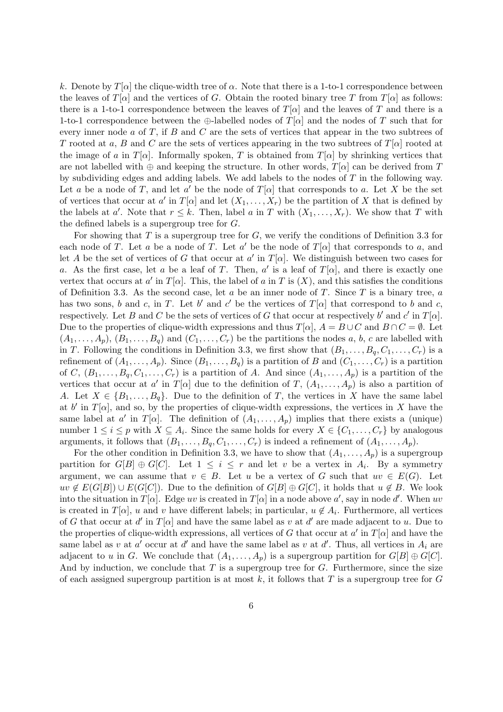*k*. Denote by *T*[*α*] the clique-width tree of *α*. Note that there is a 1-to-1 correspondence between the leaves of *T*[*α*] and the vertices of *G*. Obtain the rooted binary tree *T* from  $T[\alpha]$  as follows: there is a 1-to-1 correspondence between the leaves of  $T[\alpha]$  and the leaves of  $T$  and there is a 1-to-1 correspondence between the *⊕*-labelled nodes of *T*[*α*] and the nodes of *T* such that for every inner node *a* of *T*, if *B* and *C* are the sets of vertices that appear in the two subtrees of *T* rooted at *a*, *B* and *C* are the sets of vertices appearing in the two subtrees of *T*[*α*] rooted at the image of *a* in  $T[\alpha]$ . Informally spoken, *T* is obtained from  $T[\alpha]$  by shrinking vertices that are not labelled with  $\oplus$  and keeping the structure. In other words,  $T[\alpha]$  can be derived from  $T$ by subdividing edges and adding labels. We add labels to the nodes of *T* in the following way. Let *a* be a node of *T*, and let *a*<sup> $\prime$ </sup> be the node of *T*[*α*] that corresponds to *a*. Let *X* be the set of vertices that occur at *a'* in  $T[\alpha]$  and let  $(X_1, \ldots, X_r)$  be the partition of *X* that is defined by the labels at *a'*. Note that  $r \leq k$ . Then, label *a* in *T* with  $(X_1, \ldots, X_r)$ . We show that *T* with the defined labels is a supergroup tree for *G*.

For showing that *T* is a supergroup tree for *G*, we verify the conditions of Definition 3.3 for each node of *T*. Let *a* be a node of *T*. Let *a'* be the node of  $T[\alpha]$  that corresponds to *a*, and let *A* be the set of vertices of *G* that occur at *a'* in  $T[\alpha]$ . We distinguish between two cases for *a*. As the first case, let *a* be a leaf of *T*. Then, *a*<sup> $\prime$ </sup> is a leaf of *T*[*α*], and there is exactly one vertex that occurs at *a'* in  $T[\alpha]$ . This, the label of *a* in *T* is  $(X)$ , and this satisfies the conditions of Definition 3.3. As the second case, let *a* be an inner node of *T*. Since *T* is a binary tree, *a* has two sons, *b* and *c*, in *T*. Let *b'* and *c'* be the vertices of  $T[\alpha]$  that correspond to *b* and *c*, respectively. Let *B* and *C* be the sets of vertices of *G* that occur at respectively *b*' and *c*' in  $T[\alpha]$ . Due to the properties of clique-width expressions and thus  $T[\alpha]$ ,  $A = B \cup C$  and  $B \cap C = \emptyset$ . Let  $(A_1, \ldots, A_p), (B_1, \ldots, B_q)$  and  $(C_1, \ldots, C_r)$  be the partitions the nodes *a*, *b*, *c* are labelled with in *T*. Following the conditions in Definition 3.3, we first show that  $(B_1, \ldots, B_q, C_1, \ldots, C_r)$  is a refinement of  $(A_1, \ldots, A_p)$ . Since  $(B_1, \ldots, B_q)$  is a partition of *B* and  $(C_1, \ldots, C_r)$  is a partition of *C*,  $(B_1, \ldots, B_q, C_1, \ldots, C_r)$  is a partition of *A*. And since  $(A_1, \ldots, A_p)$  is a partition of the vertices that occur at *a'* in  $T[\alpha]$  due to the definition of  $T$ ,  $(A_1, \ldots, A_p)$  is also a partition of *A*. Let  $X \in \{B_1, \ldots, B_q\}$ . Due to the definition of *T*, the vertices in *X* have the same label at *b*<sup> $\prime$ </sup> in *T*[ $\alpha$ ], and so, by the properties of clique-width expressions, the vertices in *X* have the same label at *a'* in *T*[*α*]. The definition of  $(A_1, \ldots, A_p)$  implies that there exists a (unique) number  $1 \leq i \leq p$  with  $X \subseteq A_i$ . Since the same holds for every  $X \in \{C_1, \ldots, C_r\}$  by analogous arguments, it follows that  $(B_1, \ldots, B_q, C_1, \ldots, C_r)$  is indeed a refinement of  $(A_1, \ldots, A_p)$ .

For the other condition in Definition 3.3, we have to show that  $(A_1, \ldots, A_p)$  is a supergroup partition for  $G[B] \oplus G[C]$ . Let  $1 \leq i \leq r$  and let *v* be a vertex in  $A_i$ . By a symmetry argument, we can assume that  $v \in B$ . Let *u* be a vertex of *G* such that  $uv \in E(G)$ . Let *uv* ∉ *E*(*G*[*B*]) ∪ *E*(*G*[*C*]). Due to the definition of *G*[*B*] ⊕ *G*[*C*], it holds that *u* ∉ *B*. We look into the situation in  $T[\alpha]$ . Edge *uv* is created in  $T[\alpha]$  in a node above  $a'$ , say in node  $d'$ . When *uv* is created in  $T[\alpha]$ , *u* and *v* have different labels; in particular,  $u \notin A_i$ . Furthermore, all vertices of *G* that occur at *d'* in  $T[\alpha]$  and have the same label as *v* at *d'* are made adjacent to *u*. Due to the properties of clique-width expressions, all vertices of *G* that occur at  $a'$  in  $T[\alpha]$  and have the same label as *v* at *a*<sup> $\prime$ </sup> occur at *d*<sup> $\prime$ </sup> and have the same label as *v* at *d*<sup> $\prime$ </sup>. Thus, all vertices in  $A_i$  are adjacent to *u* in *G*. We conclude that  $(A_1, \ldots, A_p)$  is a supergroup partition for  $G[B] \oplus G[C]$ . And by induction, we conclude that *T* is a supergroup tree for *G*. Furthermore, since the size of each assigned supergroup partition is at most *k*, it follows that *T* is a supergroup tree for *G*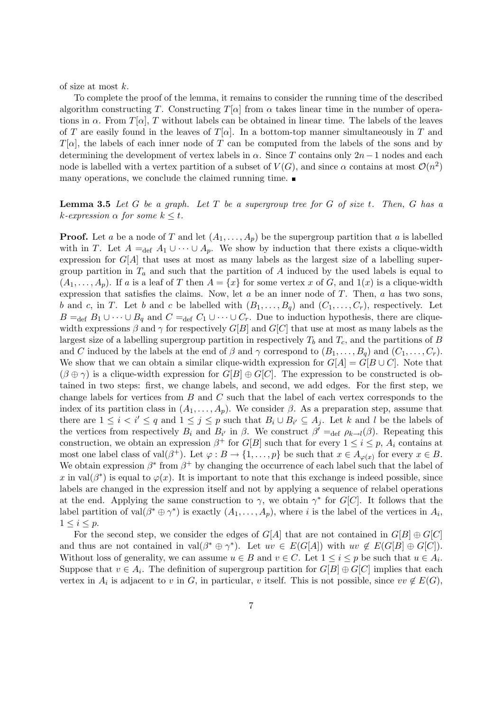of size at most *k*.

To complete the proof of the lemma, it remains to consider the running time of the described algorithm constructing *T*. Constructing  $T[\alpha]$  from  $\alpha$  takes linear time in the number of operations in  $\alpha$ . From  $T[\alpha]$ , *T* without labels can be obtained in linear time. The labels of the leaves of *T* are easily found in the leaves of  $T[\alpha]$ . In a bottom-top manner simultaneously in *T* and *T*[*α*], the labels of each inner node of *T* can be computed from the labels of the sons and by determining the development of vertex labels in  $\alpha$ . Since *T* contains only 2*n* − 1 nodes and each node is labelled with a vertex partition of a subset of  $V(G)$ , and since  $\alpha$  contains at most  $\mathcal{O}(n^2)$ many operations, we conclude the claimed running time.

#### **Lemma 3.5** *Let G be a graph. Let T be a supergroup tree for G of size t. Then, G has a*  $k$ *-expression*  $\alpha$  *for some*  $k \leq t$ *.*

**Proof.** Let *a* be a node of *T* and let  $(A_1, \ldots, A_p)$  be the supergroup partition that *a* is labelled with in *T*. Let  $A =_{def} A_1 \cup \cdots \cup A_p$ . We show by induction that there exists a clique-width expression for *G*[*A*] that uses at most as many labels as the largest size of a labelling supergroup partition in  $T_a$  and such that the partition of  $A$  induced by the used labels is equal to  $(A_1, \ldots, A_p)$ . If *a* is a leaf of *T* then  $A = \{x\}$  for some vertex *x* of *G*, and  $1(x)$  is a clique-width expression that satisfies the claims. Now, let *a* be an inner node of *T*. Then, *a* has two sons, *b* and *c*, in *T*. Let *b* and *c* be labelled with  $(B_1, \ldots, B_q)$  and  $(C_1, \ldots, C_r)$ , respectively. Let  $B =_{\text{def}} B_1 \cup \cdots \cup B_q$  and  $C =_{\text{def}} C_1 \cup \cdots \cup C_r$ . Due to induction hypothesis, there are cliquewidth expressions  $\beta$  and  $\gamma$  for respectively  $G[B]$  and  $G[C]$  that use at most as many labels as the largest size of a labelling supergroup partition in respectively *T<sup>b</sup>* and *Tc*, and the partitions of *B* and *C* induced by the labels at the end of  $\beta$  and  $\gamma$  correspond to  $(B_1, \ldots, B_q)$  and  $(C_1, \ldots, C_r)$ . We show that we can obtain a similar clique-width expression for  $G[A] = G[B \cup C]$ . Note that  $(\beta \oplus \gamma)$  is a clique-width expression for  $G[B] \oplus G[C]$ . The expression to be constructed is obtained in two steps: first, we change labels, and second, we add edges. For the first step, we change labels for vertices from *B* and *C* such that the label of each vertex corresponds to the index of its partition class in  $(A_1, \ldots, A_p)$ . We consider  $\beta$ . As a preparation step, assume that there are  $1 \leq i \leq i' \leq q$  and  $1 \leq j \leq p$  such that  $B_i \cup B_{i'} \subseteq A_j$ . Let k and l be the labels of the vertices from respectively  $B_i$  and  $B_{i'}$  in  $\beta$ . We construct  $\beta' =_{def} \rho_{k \to l}(\beta)$ . Repeating this construction, we obtain an expression  $\beta^+$  for  $G[B]$  such that for every  $1 \leq i \leq p$ ,  $A_i$  contains at most one label class of val $(\beta^+)$ . Let  $\varphi : B \to \{1, \ldots, p\}$  be such that  $x \in A_{\varphi(x)}$  for every  $x \in B$ . We obtain expression  $\beta^*$  from  $\beta^+$  by changing the occurrence of each label such that the label of *x* in val $(\beta^*)$  is equal to  $\varphi(x)$ . It is important to note that this exchange is indeed possible, since labels are changed in the expression itself and not by applying a sequence of relabel operations at the end. Applying the same construction to  $\gamma$ , we obtain  $\gamma^*$  for *G*[*C*]. It follows that the label partition of val $(\beta^* \oplus \gamma^*)$  is exactly  $(A_1, \ldots, A_p)$ , where *i* is the label of the vertices in  $A_i$ ,  $1 \leq i \leq p$ .

For the second step, we consider the edges of  $G[A]$  that are not contained in  $G[B] \oplus G[C]$ and thus are not contained in  $val(\beta^* \oplus \gamma^*)$ . Let  $uv \in E(G[A])$  with  $uv \notin E(G[B] \oplus G[C])$ . Without loss of generality, we can assume  $u \in B$  and  $v \in C$ . Let  $1 \leq i \leq p$  be such that  $u \in A_i$ . Suppose that  $v \in A_i$ . The definition of supergroup partition for  $G[B] \oplus G[C]$  implies that each vertex in  $A_i$  is adjacent to *v* in *G*, in particular, *v* itself. This is not possible, since  $vv \notin E(G)$ ,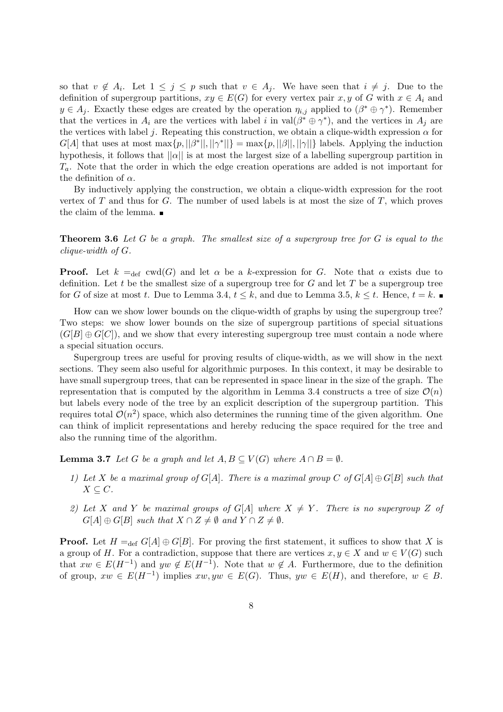so that  $v \notin A_i$ . Let  $1 \leq j \leq p$  such that  $v \in A_j$ . We have seen that  $i \neq j$ . Due to the definition of supergroup partitions,  $xy \in E(G)$  for every vertex pair  $x, y$  of  $G$  with  $x \in A_i$  and  $y \in A_j$ . Exactly these edges are created by the operation  $\eta_{i,j}$  applied to  $(\beta^* \oplus \gamma^*)$ . Remember that the vertices in  $A_i$  are the vertices with label *i* in val $(\beta^* \oplus \gamma^*)$ , and the vertices in  $A_j$  are the vertices with label *j*. Repeating this construction, we obtain a clique-width expression  $\alpha$  for  $G[A]$  that uses at most  $\max\{p, ||\beta^*||, ||\gamma^*||\} = \max\{p, ||\beta||, ||\gamma||\}$  labels. Applying the induction hypothesis, it follows that  $||\alpha||$  is at most the largest size of a labelling supergroup partition in *Ta*. Note that the order in which the edge creation operations are added is not important for the definition of  $\alpha$ .

By inductively applying the construction, we obtain a clique-width expression for the root vertex of *T* and thus for *G*. The number of used labels is at most the size of *T*, which proves the claim of the lemma.

**Theorem 3.6** *Let G be a graph. The smallest size of a supergroup tree for G is equal to the clique-width of G.*

**Proof.** Let  $k =_{def} \text{ewd}(G)$  and let  $\alpha$  be a *k*-expression for *G*. Note that  $\alpha$  exists due to definition. Let *t* be the smallest size of a supergroup tree for *G* and let *T* be a supergroup tree for *G* of size at most *t*. Due to Lemma 3.4,  $t \leq k$ , and due to Lemma 3.5,  $k \leq t$ . Hence,  $t = k$ .

How can we show lower bounds on the clique-width of graphs by using the supergroup tree? Two steps: we show lower bounds on the size of supergroup partitions of special situations  $(G[B] \oplus G[C])$ , and we show that every interesting supergroup tree must contain a node where a special situation occurs.

Supergroup trees are useful for proving results of clique-width, as we will show in the next sections. They seem also useful for algorithmic purposes. In this context, it may be desirable to have small supergroup trees, that can be represented in space linear in the size of the graph. The representation that is computed by the algorithm in Lemma 3.4 constructs a tree of size  $\mathcal{O}(n)$ but labels every node of the tree by an explicit description of the supergroup partition. This requires total  $\mathcal{O}(n^2)$  space, which also determines the running time of the given algorithm. One can think of implicit representations and hereby reducing the space required for the tree and also the running time of the algorithm.

**Lemma 3.7** *Let G be a graph and let*  $A, B \subseteq V(G)$  *where*  $A \cap B = \emptyset$ *.* 

- *1)* Let X be a maximal group of  $G[A]$ . There is a maximal group C of  $G[A] \oplus G[B]$  such that  $X \subseteq C$ *.*
- 2) Let *X* and *Y* be maximal groups of  $G[A]$  where  $X \neq Y$ . There is no supergroup *Z* of  $G[A] \oplus G[B]$  *such that*  $X \cap Z \neq \emptyset$  *and*  $Y \cap Z \neq \emptyset$ *.*

**Proof.** Let  $H =_{def} G[A] \oplus G[B]$ . For proving the first statement, it suffices to show that *X* is a group of *H*. For a contradiction, suppose that there are vertices  $x, y \in X$  and  $w \in V(G)$  such that  $xw \in E(H^{-1})$  and  $yw \notin E(H^{-1})$ . Note that  $w \notin A$ . Furthermore, due to the definition of group,  $xw \in E(H^{-1})$  implies  $xw, yw \in E(G)$ . Thus,  $yw \in E(H)$ , and therefore,  $w \in B$ .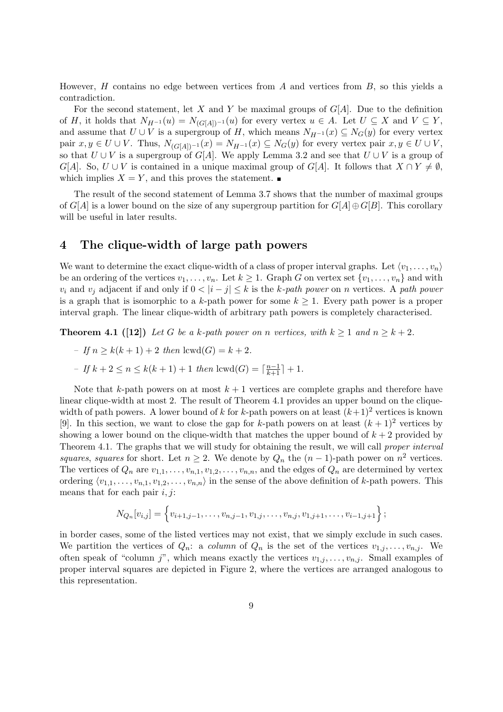However, *H* contains no edge between vertices from *A* and vertices from *B*, so this yields a contradiction.

For the second statement, let *X* and *Y* be maximal groups of *G*[*A*]. Due to the definition of *H*, it holds that  $N_{H^{-1}}(u) = N_{(G[A])^{-1}}(u)$  for every vertex  $u \in A$ . Let  $U \subseteq X$  and  $V \subseteq Y$ , and assume that  $U \cup V$  is a supergroup of *H*, which means  $N_{H^{-1}}(x) \subseteq N_G(y)$  for every vertex pair  $x, y \in U \cup V$ . Thus,  $N_{(G[A])^{-1}}(x) = N_{H^{-1}}(x) \subseteq N_G(y)$  for every vertex pair  $x, y \in U \cup V$ , so that  $U \cup V$  is a supergroup of  $G[A]$ . We apply Lemma 3.2 and see that  $U \cup V$  is a group of *G*[*A*]. So, *U*  $\cup$  *V* is contained in a unique maximal group of *G*[*A*]. It follows that  $X \cap Y \neq \emptyset$ , which implies  $X = Y$ , and this proves the statement.

The result of the second statement of Lemma 3.7 shows that the number of maximal groups of  $G[A]$  is a lower bound on the size of any supergroup partition for  $G[A] \oplus G[B]$ . This corollary will be useful in later results.

## **4 The clique-width of large path powers**

We want to determine the exact clique-width of a class of proper interval graphs. Let  $\langle v_1, \ldots, v_n \rangle$ be an ordering of the vertices  $v_1, \ldots, v_n$ . Let  $k \geq 1$ . Graph *G* on vertex set  $\{v_1, \ldots, v_n\}$  and with *v*<sub>*i*</sub> and *v*<sub>*j*</sub> adjacent if and only if  $0 < |i - j| \leq k$  is the *k-path power* on *n* vertices. A *path power* is a graph that is isomorphic to a *k*-path power for some  $k \geq 1$ . Every path power is a proper interval graph. The linear clique-width of arbitrary path powers is completely characterised.

**Theorem 4.1** ([12]) *Let G be a k-path power on <i>n vertices, with*  $k \geq 1$  *and*  $n \geq k + 2$ *.* 

- $-f(n) > k(k+1) + 2$  *then* lcwd(*G*) =  $k + 2$ .
- $-$  *If*  $k + 2 \le n \le k(k + 1) + 1$  *then* lcwd(*G*) =  $\lceil \frac{n-1}{k+1} \rceil + 1$ *.*

Note that  $k$ -path powers on at most  $k+1$  vertices are complete graphs and therefore have linear clique-width at most 2. The result of Theorem 4.1 provides an upper bound on the cliquewidth of path powers. A lower bound of *k* for *k*-path powers on at least  $(k+1)^2$  vertices is known [9]. In this section, we want to close the gap for *k*-path powers on at least  $(k+1)^2$  vertices by showing a lower bound on the clique-width that matches the upper bound of  $k + 2$  provided by Theorem 4.1. The graphs that we will study for obtaining the result, we will call *proper interval squares*, *squares* for short. Let  $n \geq 2$ . We denote by  $Q_n$  the  $(n-1)$ -path power on  $n^2$  vertices. The vertices of  $Q_n$  are  $v_{1,1}, \ldots, v_{n,1}, v_{1,2}, \ldots, v_{n,n}$ , and the edges of  $Q_n$  are determined by vertex ordering  $\langle v_{1,1}, \ldots, v_{n,1}, v_{1,2}, \ldots, v_{n,n} \rangle$  in the sense of the above definition of *k*-path powers. This means that for each pair *i, j*:

$$
N_{Q_n}[v_{i,j}] = \left\{v_{i+1,j-1}, \ldots, v_{n,j-1}, v_{1,j}, \ldots, v_{n,j}, v_{1,j+1}, \ldots, v_{i-1,j+1}\right\};
$$

in border cases, some of the listed vertices may not exist, that we simply exclude in such cases. We partition the vertices of  $Q_n$ : a *column* of  $Q_n$  is the set of the vertices  $v_{1,j}, \ldots, v_{n,j}$ . We often speak of "column *j*", which means exactly the vertices  $v_{1,j}, \ldots, v_{n,j}$ . Small examples of proper interval squares are depicted in Figure 2, where the vertices are arranged analogous to this representation.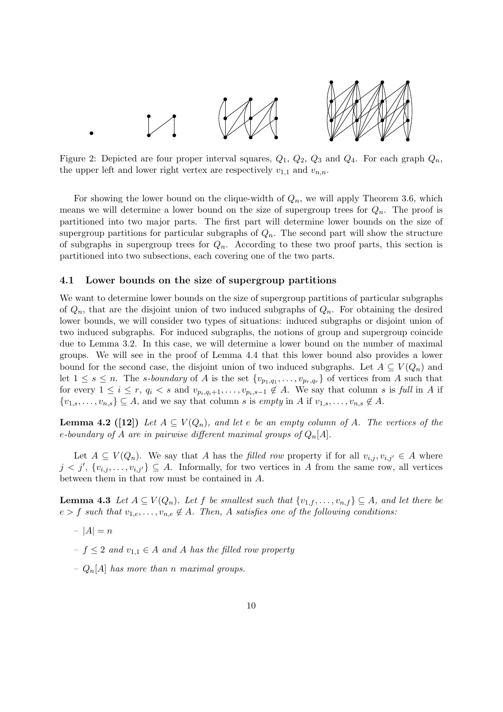

Figure 2: Depicted are four proper interval squares,  $Q_1$ ,  $Q_2$ ,  $Q_3$  and  $Q_4$ . For each graph  $Q_n$ , the upper left and lower right vertex are respectively  $v_{1,1}$  and  $v_{n,n}$ .

For showing the lower bound on the clique-width of *Qn*, we will apply Theorem 3.6, which means we will determine a lower bound on the size of supergroup trees for *Qn*. The proof is partitioned into two major parts. The first part will determine lower bounds on the size of supergroup partitions for particular subgraphs of  $Q_n$ . The second part will show the structure of subgraphs in supergroup trees for  $Q_n$ . According to these two proof parts, this section is partitioned into two subsections, each covering one of the two parts.

#### **4.1 Lower bounds on the size of supergroup partitions**

We want to determine lower bounds on the size of supergroup partitions of particular subgraphs of  $Q_n$ , that are the disjoint union of two induced subgraphs of  $Q_n$ . For obtaining the desired lower bounds, we will consider two types of situations: induced subgraphs or disjoint union of two induced subgraphs. For induced subgraphs, the notions of group and supergroup coincide due to Lemma 3.2. In this case, we will determine a lower bound on the number of maximal groups. We will see in the proof of Lemma 4.4 that this lower bound also provides a lower bound for the second case, the disjoint union of two induced subgraphs. Let  $A \subseteq V(Q_n)$  and let  $1 \leq s \leq n$ . The *s*-boundary of A is the set  $\{v_{p_1,q_1},\ldots,v_{p_r,q_r}\}$  of vertices from A such that for every  $1 \leq i \leq r$ ,  $q_i < s$  and  $v_{p_i,q_i+1}, \ldots, v_{p_i,s-1} \notin A$ . We say that column s is full in A if  ${v_1, s, \ldots, v_{n,s}} \subseteq A$ , and we say that column *s* is *empty* in *A* if  $v_{1,s}, \ldots, v_{n,s} \notin A$ .

**Lemma 4.2 ([12])** Let  $A \subseteq V(Q_n)$ , and let  $e$  be an empty column of  $A$ . The vertices of the *e-boundary of A are in pairwise different maximal groups of Qn*[*A*]*.*

Let  $A \subseteq V(Q_n)$ . We say that *A* has the *filled row* property if for all  $v_{i,j}, v_{i,j'} \in A$  where  $j < j'$ ,  $\{v_{i,j}, \ldots, v_{i,j'}\} \subseteq A$ . Informally, for two vertices in *A* from the same row, all vertices between them in that row must be contained in *A*.

**Lemma 4.3** *Let*  $A \subseteq V(Q_n)$ *. Let*  $f$  *be smallest such that*  $\{v_{1,f}, \ldots, v_{n,f}\} \subseteq A$ *, and let there be*  $e > f$  *such that*  $v_{1,e}, \ldots, v_{n,e} \notin A$ *. Then, A satisfies one of the following conditions:* 

- $-|A|=n$
- *– f ≤* 2 *and v*1*,*<sup>1</sup> *∈ A and A has the filled row property*
- *– Qn*[*A*] *has more than n maximal groups.*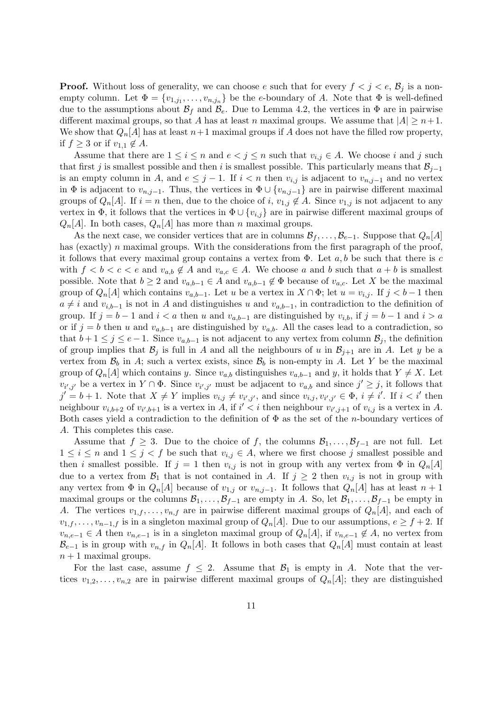**Proof.** Without loss of generality, we can choose *e* such that for every  $f < j < e$ ,  $B_j$  is a nonempty column. Let  $\Phi = \{v_{1,j_1}, \ldots, v_{n,j_n}\}\$ be the *e*-boundary of *A*. Note that  $\Phi$  is well-defined due to the assumptions about  $\mathcal{B}_f$  and  $\mathcal{B}_e$ . Due to Lemma 4.2, the vertices in  $\Phi$  are in pairwise different maximal groups, so that *A* has at least *n* maximal groups. We assume that  $|A| \geq n+1$ . We show that  $Q_n[A]$  has at least  $n+1$  maximal groups if A does not have the filled row property, if  $f > 3$  or if  $v_{1,1} \notin A$ .

Assume that there are  $1 \leq i \leq n$  and  $e < j \leq n$  such that  $v_{i,j} \in A$ . We choose *i* and *j* such that first *j* is smallest possible and then *i* is smallest possible. This particularly means that  $\mathcal{B}_{j-1}$ is an empty column in *A*, and  $e \leq j - 1$ . If  $i < n$  then  $v_{i,j}$  is adjacent to  $v_{n,j-1}$  and no vertex in  $\Phi$  is adjacent to  $v_{n,j-1}$ . Thus, the vertices in  $\Phi \cup \{v_{n,j-1}\}\$  are in pairwise different maximal groups of  $Q_n[A]$ . If  $i = n$  then, due to the choice of  $i, v_{1,j} \notin A$ . Since  $v_{1,j}$  is not adjacent to any vertex in  $\Phi$ , it follows that the vertices in  $\Phi \cup \{v_{i,j}\}$  are in pairwise different maximal groups of  $Q_n[A]$ . In both cases,  $Q_n[A]$  has more than *n* maximal groups.

As the next case, we consider vertices that are in columns  $\mathcal{B}_f, \ldots, \mathcal{B}_{e-1}$ . Suppose that  $Q_n[A]$ has (exactly) *n* maximal groups. With the considerations from the first paragraph of the proof, it follows that every maximal group contains a vertex from Φ. Let *a, b* be such that there is *c* with  $f < b < c < e$  and  $v_{a,b} \notin A$  and  $v_{a,c} \in A$ . We choose a and b such that  $a + b$  is smallest possible. Note that  $b \geq 2$  and  $v_{a,b-1} \in A$  and  $v_{a,b-1} \notin \Phi$  because of  $v_{a,c}$ . Let X be the maximal group of  $Q_n[A]$  which contains  $v_{a,b-1}$ . Let *u* be a vertex in  $X \cap \Phi$ ; let  $u = v_{i,j}$ . If  $j < b-1$  then  $a \neq i$  and  $v_{i,b-1}$  is not in *A* and distinguishes *u* and  $v_{a,b-1}$ , in contradiction to the definition of group. If  $j = b - 1$  and  $i < a$  then *u* and  $v_{a,b-1}$  are distinguished by  $v_{i,b}$ , if  $j = b - 1$  and  $i > a$ or if  $j = b$  then *u* and  $v_{a,b-1}$  are distinguished by  $v_{a,b}$ . All the cases lead to a contradiction, so that  $b+1 \leq j \leq e-1$ . Since  $v_{a,b-1}$  is not adjacent to any vertex from column  $\mathcal{B}_j$ , the definition of group implies that  $\mathcal{B}_j$  is full in *A* and all the neighbours of *u* in  $\mathcal{B}_{j+1}$  are in *A*. Let *y* be a vertex from  $\mathcal{B}_b$  in *A*; such a vertex exists, since  $\mathcal{B}_b$  is non-empty in *A*. Let *Y* be the maximal group of  $Q_n[A]$  which contains *y*. Since  $v_{a,b}$  distinguishes  $v_{a,b-1}$  and *y*, it holds that  $Y \neq X$ . Let  $v_{i',j'}$  be a vertex in  $Y \cap \Phi$ . Since  $v_{i',j'}$  must be adjacent to  $v_{a,b}$  and since  $j' \geq j$ , it follows that  $j' = b + 1$ . Note that  $X \neq Y$  implies  $v_{i,j} \neq v_{i',j'}$ , and since  $v_{i,j}, v_{i',j'} \in \Phi$ ,  $i \neq i'$ . If  $i < i'$  then neighbour  $v_{i,b+2}$  of  $v_{i',b+1}$  is a vertex in A, if  $i' < i$  then neighbour  $v_{i',j+1}$  of  $v_{i,j}$  is a vertex in A. Both cases yield a contradiction to the definition of Φ as the set of the *n*-boundary vertices of *A*. This completes this case.

Assume that  $f \geq 3$ . Due to the choice of f, the columns  $B_1, \ldots, B_{f-1}$  are not full. Let  $1 \leq i \leq n$  and  $1 \leq j < f$  be such that  $v_{i,j} \in A$ , where we first choose *j* smallest possible and then *i* smallest possible. If  $j = 1$  then  $v_{i,j}$  is not in group with any vertex from  $\Phi$  in  $Q_n[A]$ due to a vertex from  $\mathcal{B}_1$  that is not contained in *A*. If  $j \geq 2$  then  $v_{i,j}$  is not in group with any vertex from  $\Phi$  in  $Q_n[A]$  because of  $v_{1,j}$  or  $v_{n,j-1}$ . It follows that  $Q_n[A]$  has at least  $n+1$ maximal groups or the columns  $\mathcal{B}_1, \ldots, \mathcal{B}_{f-1}$  are empty in A. So, let  $\mathcal{B}_1, \ldots, \mathcal{B}_{f-1}$  be empty in *A*. The vertices  $v_{1,f}, \ldots, v_{n,f}$  are in pairwise different maximal groups of  $Q_n[A]$ , and each of  $v_{1,f}, \ldots, v_{n-1,f}$  is in a singleton maximal group of  $Q_n[A]$ . Due to our assumptions,  $e \geq f+2$ . If *v*<sub>*n,e*−1</sub>  $\in$  *A* then *v*<sub>*n,e−1*</sub> is in a singleton maximal group of  $Q_n[A]$ , if  $v_{n,e-1} \notin A$ , no vertex from  $B_{e-1}$  is in group with  $v_{n,f}$  in  $Q_n[A]$ . It follows in both cases that  $Q_n[A]$  must contain at least  $n+1$  maximal groups.

For the last case, assume  $f \leq 2$ . Assume that  $B_1$  is empty in *A*. Note that the vertices  $v_1, 2, \ldots, v_{n,2}$  are in pairwise different maximal groups of  $Q_n[A]$ ; they are distinguished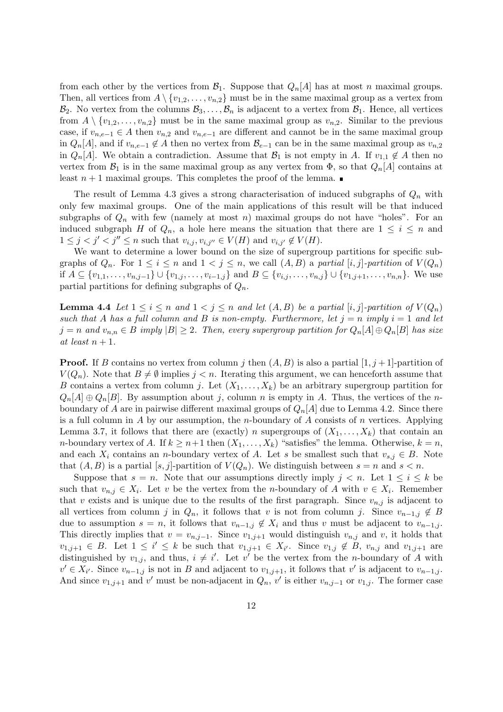from each other by the vertices from  $\mathcal{B}_1$ . Suppose that  $Q_n[A]$  has at most *n* maximal groups. Then, all vertices from  $A \setminus \{v_{1,2}, \ldots, v_{n,2}\}$  must be in the same maximal group as a vertex from  $B_2$ . No vertex from the columns  $B_3, \ldots, B_n$  is adjacent to a vertex from  $B_1$ . Hence, all vertices from  $A \setminus \{v_{1,2}, \ldots, v_{n,2}\}$  must be in the same maximal group as  $v_{n,2}$ . Similar to the previous case, if  $v_{n,e-1} \in A$  then  $v_{n,2}$  and  $v_{n,e-1}$  are different and cannot be in the same maximal group in  $Q_n[A]$ , and if  $v_{n,e-1} \notin A$  then no vertex from  $\mathcal{B}_{e-1}$  can be in the same maximal group as  $v_{n,2}$ in *Q<sub>n</sub>*[*A*]. We obtain a contradiction. Assume that  $\mathcal{B}_1$  is not empty in *A*. If  $v_{1,1} \notin A$  then no vertex from  $\mathcal{B}_1$  is in the same maximal group as any vertex from  $\Phi$ , so that  $Q_n[A]$  contains at least  $n+1$  maximal groups. This completes the proof of the lemma.

The result of Lemma 4.3 gives a strong characterisation of induced subgraphs of *Q<sup>n</sup>* with only few maximal groups. One of the main applications of this result will be that induced subgraphs of  $Q_n$  with few (namely at most *n*) maximal groups do not have "holes". For an induced subgraph *H* of  $Q_n$ , a hole here means the situation that there are  $1 \leq i \leq n$  and  $1 \leq j < j' < j'' \leq n$  such that  $v_{i,j}, v_{i,j''} \in V(H)$  and  $v_{i,j'} \notin V(H)$ .

We want to determine a lower bound on the size of supergroup partitions for specific subgraphs of  $Q_n$ . For  $1 \leq i \leq n$  and  $1 < j \leq n$ , we call  $(A, B)$  a *partial*  $[i, j]$ *-partition* of  $V(Q_n)$ if  $A \subseteq \{v_{1,1}, \ldots, v_{n,j-1}\} \cup \{v_{1,j}, \ldots, v_{i-1,j}\}$  and  $B \subseteq \{v_{i,j}, \ldots, v_{n,j}\} \cup \{v_{1,j+1}, \ldots, v_{n,n}\}.$  We use partial partitions for defining subgraphs of *Qn*.

**Lemma 4.4** Let  $1 \leq i \leq n$  and  $1 < j \leq n$  and let  $(A, B)$  be a partial  $[i, j]$ -partition of  $V(Q_n)$ *such that A has a full column and B is non-empty. Furthermore, let*  $j = n$  *imply*  $i = 1$  *and let*  $j = n$  and  $v_{n,n} \in B$  imply  $|B| \geq 2$ . Then, every supergroup partition for  $Q_n[A] \oplus Q_n[B]$  has size  $at$  *least*  $n + 1$ *.* 

**Proof.** If *B* contains no vertex from column *j* then  $(A, B)$  is also a partial  $[1, j+1]$ -partition of *V*( $Q_n$ ). Note that  $B \neq \emptyset$  implies  $j < n$ . Iterating this argument, we can henceforth assume that *B* contains a vertex from column *j*. Let  $(X_1, \ldots, X_k)$  be an arbitrary supergroup partition for  $Q_n[A] \oplus Q_n[B]$ . By assumption about *j*, column *n* is empty in *A*. Thus, the vertices of the *n*boundary of *A* are in pairwise different maximal groups of  $Q_n[A]$  due to Lemma 4.2. Since there is a full column in *A* by our assumption, the *n*-boundary of *A* consists of *n* vertices. Applying Lemma 3.7, it follows that there are (exactly) *n* supergroups of  $(X_1, \ldots, X_k)$  that contain an *n*-boundary vertex of *A*. If  $k \geq n+1$  then  $(X_1, \ldots, X_k)$  "satisfies" the lemma. Otherwise,  $k = n$ , and each  $X_i$  contains an *n*-boundary vertex of *A*. Let *s* be smallest such that  $v_{s,j} \in B$ . Note that  $(A, B)$  is a partial  $[s, j]$ -partition of  $V(Q_n)$ . We distinguish between  $s = n$  and  $s < n$ .

Suppose that  $s = n$ . Note that our assumptions directly imply  $j < n$ . Let  $1 \leq i \leq k$  be such that  $v_{n,j} \in X_i$ . Let *v* be the vertex from the *n*-boundary of *A* with  $v \in X_i$ . Remember that *v* exists and is unique due to the results of the first paragraph. Since  $v_{n,j}$  is adjacent to all vertices from column *j* in  $Q_n$ , it follows that *v* is not from column *j*. Since  $v_{n-1,j} \notin B$ due to assumption  $s = n$ , it follows that  $v_{n-1,j} \notin X_i$  and thus  $v$  must be adjacent to  $v_{n-1,j}$ . This directly implies that  $v = v_{n,j-1}$ . Since  $v_{1,j+1}$  would distinguish  $v_{n,j}$  and  $v$ , it holds that  $v_{1,j+1} \in B$ . Let  $1 \leq i' \leq k$  be such that  $v_{1,j+1} \in X_{i'}$ . Since  $v_{1,j} \notin B$ ,  $v_{n,j}$  and  $v_{1,j+1}$  are distinguished by  $v_{1,j}$ , and thus,  $i \neq i'$ . Let  $v'$  be the vertex from the *n*-boundary of *A* with  $v' \in X_{i'}$ . Since  $v_{n-1,j}$  is not in B and adjacent to  $v_{1,j+1}$ , it follows that v' is adjacent to  $v_{n-1,j}$ . And since  $v_{1,j+1}$  and  $v'$  must be non-adjacent in  $Q_n$ ,  $v'$  is either  $v_{n,j-1}$  or  $v_{1,j}$ . The former case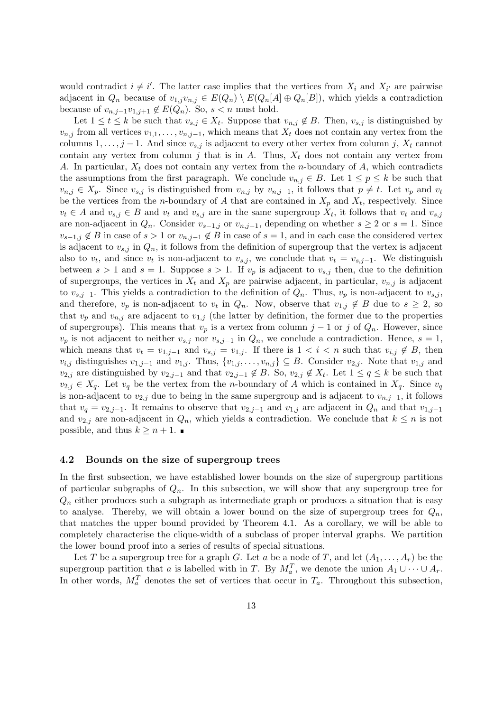would contradict  $i \neq i'$ . The latter case implies that the vertices from  $X_i$  and  $X_{i'}$  are pairwise adjacent in  $Q_n$  because of  $v_{1,j}v_{n,j} \in E(Q_n) \setminus E(Q_n[A] \oplus Q_n[B])$ , which yields a contradiction because of  $v_{n,j-1}v_{1,j+1} \notin E(Q_n)$ . So,  $s < n$  must hold.

Let  $1 \leq t \leq k$  be such that  $v_{s,j} \in X_t$ . Suppose that  $v_{n,j} \notin B$ . Then,  $v_{s,j}$  is distinguished by  $v_{n,j}$  from all vertices  $v_{1,1}, \ldots, v_{n,j-1}$ , which means that  $X_t$  does not contain any vertex from the columns  $1, \ldots, j - 1$ . And since  $v_{s,j}$  is adjacent to every other vertex from column *j*,  $X_t$  cannot contain any vertex from column  $j$  that is in  $A$ . Thus,  $X_t$  does not contain any vertex from *A*. In particular, *X<sup>t</sup>* does not contain any vertex from the *n*-boundary of *A*, which contradicts the assumptions from the first paragraph. We conclude  $v_{n,j} \in B$ . Let  $1 \leq p \leq k$  be such that  $v_{n,j} \in X_p$ . Since  $v_{s,j}$  is distinguished from  $v_{n,j}$  by  $v_{n,j-1}$ , it follows that  $p \neq t$ . Let  $v_p$  and  $v_t$ be the vertices from the *n*-boundary of *A* that are contained in  $X_p$  and  $X_t$ , respectively. Since  $v_t \in A$  and  $v_{s,j} \in B$  and  $v_t$  and  $v_{s,j}$  are in the same supergroup  $X_t$ , it follows that  $v_t$  and  $v_{s,j}$ are non-adjacent in  $Q_n$ . Consider  $v_{s-1,j}$  or  $v_{n,j-1}$ , depending on whether  $s \geq 2$  or  $s = 1$ . Since  $v_{s-1,j} \notin B$  in case of  $s > 1$  or  $v_{n,j-1} \notin B$  in case of  $s = 1$ , and in each case the considered vertex is adjacent to  $v_{s,j}$  in  $Q_n$ , it follows from the definition of supergroup that the vertex is adjacent also to  $v_t$ , and since  $v_t$  is non-adjacent to  $v_{s,j}$ , we conclude that  $v_t = v_{s,j-1}$ . We distinguish between  $s > 1$  and  $s = 1$ . Suppose  $s > 1$ . If  $v_p$  is adjacent to  $v_{s,j}$  then, due to the definition of supergroups, the vertices in  $X_t$  and  $X_p$  are pairwise adjacent, in particular,  $v_{n,j}$  is adjacent to  $v_{s,i-1}$ . This yields a contradiction to the definition of  $Q_n$ . Thus,  $v_p$  is non-adjacent to  $v_{s,i}$ , and therefore,  $v_p$  is non-adjacent to  $v_t$  in  $Q_n$ . Now, observe that  $v_{1,j} \notin B$  due to  $s \geq 2$ , so that  $v_p$  and  $v_{n,j}$  are adjacent to  $v_{1,j}$  (the latter by definition, the former due to the properties of supergroups). This means that  $v_p$  is a vertex from column  $j-1$  or  $j$  of  $Q_n$ . However, since  $v_p$  is not adjacent to neither  $v_{s,j}$  nor  $v_{s,j-1}$  in  $Q_n$ , we conclude a contradiction. Hence,  $s = 1$ , which means that  $v_t = v_{1,j-1}$  and  $v_{s,j} = v_{1,j}$ . If there is  $1 < i < n$  such that  $v_{i,j} \notin B$ , then  $v_{i,j}$  distinguishes  $v_{1,j-1}$  and  $v_{1,j}$ . Thus,  $\{v_{1,j},\ldots,v_{n,j}\}\subseteq B$ . Consider  $v_{2,j}$ . Note that  $v_{1,j}$  and  $v_{2,j}$  are distinguished by  $v_{2,j-1}$  and that  $v_{2,j-1} \notin B$ . So,  $v_{2,j} \notin X_t$ . Let  $1 \le q \le k$  be such that  $v_{2,j} \in X_q$ . Let  $v_q$  be the vertex from the *n*-boundary of *A* which is contained in  $X_q$ . Since  $v_q$ is non-adjacent to  $v_{2,j}$  due to being in the same supergroup and is adjacent to  $v_{n,j-1}$ , it follows that  $v_q = v_{2,j-1}$ . It remains to observe that  $v_{2,j-1}$  and  $v_{1,j}$  are adjacent in  $Q_n$  and that  $v_{1,j-1}$ and  $v_{2,j}$  are non-adjacent in  $Q_n$ , which yields a contradiction. We conclude that  $k \leq n$  is not possible, and thus  $k \geq n+1$ .

#### **4.2 Bounds on the size of supergroup trees**

In the first subsection, we have established lower bounds on the size of supergroup partitions of particular subgraphs of  $Q_n$ . In this subsection, we will show that any supergroup tree for  $Q_n$  either produces such a subgraph as intermediate graph or produces a situation that is easy to analyse. Thereby, we will obtain a lower bound on the size of supergroup trees for  $Q_n$ , that matches the upper bound provided by Theorem 4.1. As a corollary, we will be able to completely characterise the clique-width of a subclass of proper interval graphs. We partition the lower bound proof into a series of results of special situations.

Let *T* be a supergroup tree for a graph *G*. Let *a* be a node of *T*, and let  $(A_1, \ldots, A_r)$  be the supergroup partition that *a* is labelled with in *T*. By  $M_a^T$ , we denote the union  $A_1 \cup \cdots \cup A_r$ . In other words,  $M_a^T$  denotes the set of vertices that occur in  $T_a$ . Throughout this subsection,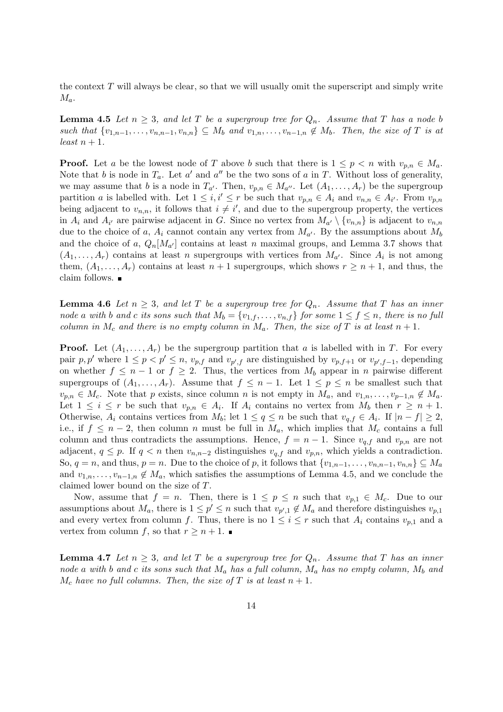the context *T* will always be clear, so that we will usually omit the superscript and simply write *Ma*.

**Lemma 4.5** *Let*  $n \geq 3$ *, and let T be a supergroup tree for*  $Q_n$ *. Assume that T has a node b* such that  $\{v_{1,n-1},\ldots,v_{n,n-1},v_{n,n}\}\subseteq M_b$  and  $v_{1,n},\ldots,v_{n-1,n}\notin M_b$ . Then, the size of T is at  $least\ n+1.$ 

**Proof.** Let *a* be the lowest node of *T* above *b* such that there is  $1 \leq p \leq n$  with  $v_{p,n} \in M_a$ . Note that *b* is node in  $T_a$ . Let *a'* and *a''* be the two sons of *a* in *T*. Without loss of generality, we may assume that *b* is a node in  $T_{a'}$ . Then,  $v_{p,n} \in M_{a''}$ . Let  $(A_1, \ldots, A_r)$  be the supergroup partition a is labelled with. Let  $1 \leq i, i' \leq r$  be such that  $v_{p,n} \in A_i$  and  $v_{n,n} \in A_{i'}$ . From  $v_{p,n}$ being adjacent to  $v_{n,n}$ , it follows that  $i \neq i'$ , and due to the supergroup property, the vertices in  $A_i$  and  $A_{i'}$  are pairwise adjacent in *G*. Since no vertex from  $M_{a'} \setminus \{v_{n,n}\}$  is adjacent to  $v_{n,n}$ due to the choice of *a*,  $A_i$  cannot contain any vertex from  $M_{a'}$ . By the assumptions about  $M_b$ and the choice of *a*,  $Q_n[M_{a'}]$  contains at least *n* maximal groups, and Lemma 3.7 shows that  $(A_1, \ldots, A_r)$  contains at least *n* supergroups with vertices from  $M_{a'}$ . Since  $A_i$  is not among them,  $(A_1, \ldots, A_r)$  contains at least  $n + 1$  supergroups, which shows  $r \geq n + 1$ , and thus, the claim follows.

**Lemma 4.6** *Let*  $n \geq 3$ *, and let T be a supergroup tree for*  $Q_n$ *. Assume that T has an inner* node a with b and c its sons such that  $M_b = \{v_{1,f}, \ldots, v_{n,f}\}$  for some  $1 \le f \le n$ , there is no full *column in*  $M_c$  *and there is no empty column in*  $M_a$ . Then, the size of T is at least  $n+1$ .

**Proof.** Let  $(A_1, \ldots, A_r)$  be the supergroup partition that *a* is labelled with in *T*. For every pair p, p' where  $1 \le p \le p' \le n$ ,  $v_{p,f}$  and  $v_{p',f}$  are distinguished by  $v_{p,f+1}$  or  $v_{p',f-1}$ , depending on whether  $f \leq n-1$  or  $f \geq 2$ . Thus, the vertices from  $M_b$  appear in *n* pairwise different supergroups of  $(A_1, \ldots, A_r)$ . Assume that  $f \leq n-1$ . Let  $1 \leq p \leq n$  be smallest such that  $v_{p,n} \in M_c$ . Note that *p* exists, since column *n* is not empty in  $M_a$ , and  $v_{1,n}, \ldots, v_{p-1,n} \notin M_a$ . Let  $1 \leq i \leq r$  be such that  $v_{p,n} \in A_i$ . If  $A_i$  contains no vertex from  $M_b$  then  $r \geq n+1$ . Otherwise,  $A_i$  contains vertices from  $M_b$ ; let  $1 \le q \le n$  be such that  $v_{q,f} \in A_i$ . If  $|n - f| \ge 2$ , i.e., if  $f \leq n-2$ , then column *n* must be full in  $M_a$ , which implies that  $M_c$  contains a full column and thus contradicts the assumptions. Hence,  $f = n - 1$ . Since  $v_{q,f}$  and  $v_{p,n}$  are not adjacent,  $q \leq p$ . If  $q < n$  then  $v_{n,n-2}$  distinguishes  $v_{q,f}$  and  $v_{p,n}$ , which yields a contradiction. So,  $q = n$ , and thus,  $p = n$ . Due to the choice of p, it follows that  $\{v_{1,n-1}, \ldots, v_{n,n-1}, v_{n,n}\} \subseteq M_a$ and  $v_{1,n}, \ldots, v_{n-1,n} \notin M_a$ , which satisfies the assumptions of Lemma 4.5, and we conclude the claimed lower bound on the size of *T*.

Now, assume that  $f = n$ . Then, there is  $1 \leq p \leq n$  such that  $v_{p,1} \in M_c$ . Due to our assumptions about  $M_a$ , there is  $1 \leq p' \leq n$  such that  $v_{p',1} \notin M_a$  and therefore distinguishes  $v_{p,1}$ and every vertex from column *f*. Thus, there is no  $1 \leq i \leq r$  such that  $A_i$  contains  $v_{p,1}$  and a vertex from column *f*, so that  $r \geq n+1$ .

**Lemma 4.7** *Let*  $n \geq 3$ *, and let T be a supergroup tree for*  $Q_n$ *. Assume that T has an inner node a with b and c its sons such that M<sup>a</sup> has a full column, M<sup>a</sup> has no empty column, M<sup>b</sup> and*  $M_c$  *have no full columns. Then, the size of T is at least*  $n+1$ *.*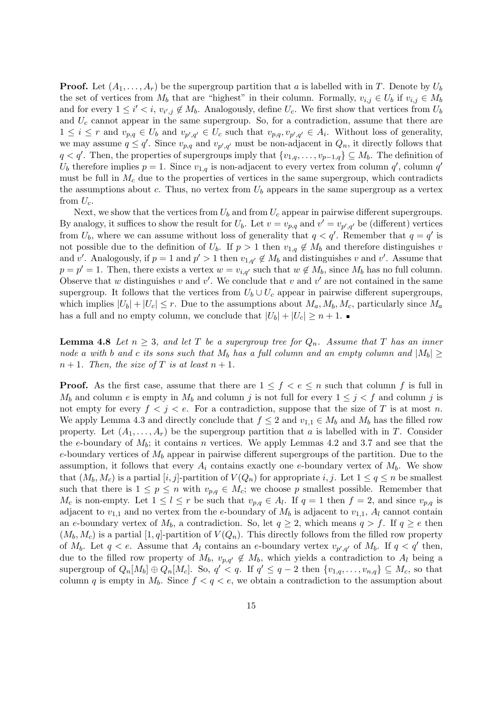**Proof.** Let  $(A_1, \ldots, A_r)$  be the supergroup partition that *a* is labelled with in *T*. Denote by  $U_b$ the set of vertices from  $M_b$  that are "highest" in their column. Formally,  $v_{i,j} \in U_b$  if  $v_{i,j} \in M_b$ and for every  $1 \leq i' < i$ ,  $v_{i',j} \notin M_b$ . Analogously, define  $U_c$ . We first show that vertices from  $U_b$ and *U<sup>c</sup>* cannot appear in the same supergroup. So, for a contradiction, assume that there are  $1 \leq i \leq r$  and  $v_{p,q} \in U_b$  and  $v_{p',q'} \in U_c$  such that  $v_{p,q}, v_{p',q'} \in A_i$ . Without loss of generality, we may assume  $q \leq q'$ . Since  $v_{p,q}$  and  $v_{p',q'}$  must be non-adjacent in  $Q_n$ , it directly follows that  $q < q'$ . Then, the properties of supergroups imply that  $\{v_{1,q}, \ldots, v_{p-1,q}\} \subseteq M_b$ . The definition of  $U_b$  therefore implies  $p = 1$ . Since  $v_{1,q}$  is non-adjacent to every vertex from column  $q'$ , column  $q'$ must be full in  $M_c$  due to the properties of vertices in the same supergroup, which contradicts the assumptions about *c*. Thus, no vertex from  $U_b$  appears in the same supergroup as a vertex from  $U_c$ .

Next, we show that the vertices from  $U_b$  and from  $U_c$  appear in pairwise different supergroups. By analogy, it suffices to show the result for  $U_b$ . Let  $v = v_{p,q}$  and  $v' = v_{p',q'}$  be (different) vertices from  $U_b$ , where we can assume without loss of generality that  $q < q'$ . Remember that  $q = q'$  is not possible due to the definition of  $U_b$ . If  $p > 1$  then  $v_{1,q} \notin M_b$  and therefore distinguishes *v* and v'. Analogously, if  $p = 1$  and  $p' > 1$  then  $v_{1,q'} \notin M_b$  and distinguishes v and v'. Assume that  $p = p' = 1$ . Then, there exists a vertex  $w = v_{i,q'}$  such that  $w \notin M_b$ , since  $M_b$  has no full column. Observe that *w* distinguishes *v* and *v*'. We conclude that *v* and *v*' are not contained in the same supergroup. It follows that the vertices from  $U_b \cup U_c$  appear in pairwise different supergroups, which implies  $|U_b| + |U_c| \leq r$ . Due to the assumptions about  $M_a, M_b, M_c$ , particularly since  $M_a$ has a full and no empty column, we conclude that  $|U_b| + |U_c| \geq n + 1$ .

**Lemma 4.8** *Let*  $n \geq 3$ *, and let T be a supergroup tree for*  $Q_n$ *. Assume that T has an inner node a with b and c its sons such that*  $M_b$  *has a full column and an empty column and*  $|M_b| \ge$  $n+1$ *. Then, the size of T is at least*  $n+1$ *.* 

**Proof.** As the first case, assume that there are  $1 \leq f \leq e \leq n$  such that column f is full in *M*<sub>*b*</sub> and column *e* is empty in *M*<sub>*b*</sub> and column *j* is not full for every  $1 \leq j \leq f$  and column *j* is not empty for every  $f < j < e$ . For a contradiction, suppose that the size of T is at most n. We apply Lemma 4.3 and directly conclude that  $f \leq 2$  and  $v_{1,1} \in M_b$  and  $M_b$  has the filled row property. Let  $(A_1, \ldots, A_r)$  be the supergroup partition that *a* is labelled with in *T*. Consider the *e*-boundary of *Mb*; it contains *n* vertices. We apply Lemmas 4.2 and 3.7 and see that the *e*-boundary vertices of  $M_b$  appear in pairwise different supergroups of the partition. Due to the assumption, it follows that every  $A_i$  contains exactly one *e*-boundary vertex of  $M_b$ . We show that  $(M_b, M_c)$  is a partial  $[i, j]$ -partition of  $V(Q_n)$  for appropriate *i, j*. Let  $1 \le q \le n$  be smallest such that there is  $1 \leq p \leq n$  with  $v_{p,q} \in M_c$ ; we choose p smallest possible. Remember that *M*<sub>c</sub> is non-empty. Let  $1 \leq l \leq r$  be such that  $v_{p,q} \in A_l$ . If  $q = 1$  then  $f = 2$ , and since  $v_{p,q}$  is adjacent to  $v_{1,1}$  and no vertex from the *e*-boundary of  $M_b$  is adjacent to  $v_{1,1}$ ,  $A_l$  cannot contain an *e*-boundary vertex of  $M_b$ , a contradiction. So, let  $q \geq 2$ , which means  $q > f$ . If  $q \geq e$  then  $(M_b, M_c)$  is a partial [1, q]-partition of  $V(Q_n)$ . This directly follows from the filled row property of  $M_b$ . Let  $q < e$ . Assume that  $A_l$  contains an *e*-boundary vertex  $v_{p',q'}$  of  $M_b$ . If  $q < q'$  then, due to the filled row property of  $M_b$ ,  $v_{p,q'} \notin M_b$ , which yields a contradiction to  $A_l$  being a supergroup of  $Q_n[M_b] \oplus Q_n[M_c]$ . So,  $q' < q$ . If  $q' \leq q-2$  then  $\{v_{1,q}, \ldots, v_{n,q}\} \subseteq M_c$ , so that column *q* is empty in  $M_b$ . Since  $f < q < e$ , we obtain a contradiction to the assumption about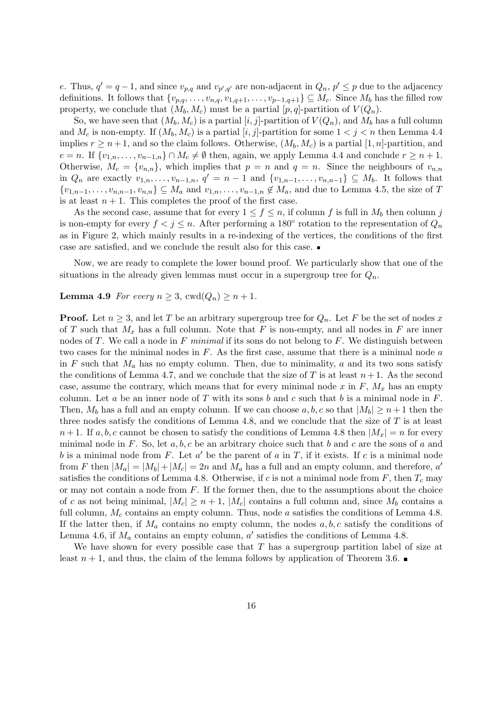e. Thus,  $q' = q - 1$ , and since  $v_{p,q}$  and  $v_{p',q'}$  are non-adjacent in  $Q_n$ ,  $p' \leq p$  due to the adjacency definitions. It follows that  $\{v_{p,q}, \ldots, v_{n,q}, v_{1,q+1}, \ldots, v_{p-1,q+1}\} \subseteq M_c$ . Since  $M_b$  has the filled row property, we conclude that  $(M_b, M_c)$  must be a partial  $[p, q]$ -partition of  $V(Q_n)$ .

So, we have seen that  $(M_b, M_c)$  is a partial [*i, j*]-partition of  $V(Q_n)$ , and  $M_b$  has a full column and  $M_c$  is non-empty. If  $(M_b, M_c)$  is a partial  $[i, j]$ -partition for some  $1 < j < n$  then Lemma 4.4 implies  $r \geq n+1$ , and so the claim follows. Otherwise,  $(M_b, M_c)$  is a partial [1, *n*]-partition, and *e* = *n*. If  $\{v_{1,n}, \ldots, v_{n-1,n}\} ∩ M_c \neq \emptyset$  then, again, we apply Lemma 4.4 and conclude  $r ≥ n + 1$ . Otherwise,  $M_c = \{v_{n,n}\}\$ , which implies that  $p = n$  and  $q = n$ . Since the neighbours of  $v_{n,n}$ in  $Q_n$  are exactly  $v_{1,n}, \ldots, v_{n-1,n}, q' = n-1$  and  $\{v_{1,n-1}, \ldots, v_{n,n-1}\} \subseteq M_b$ . It follows that  $\{v_{1,n-1},\ldots,v_{n,n-1},v_{n,n}\}\subseteq M_a$  and  $v_{1,n},\ldots,v_{n-1,n}\notin M_a$ , and due to Lemma 4.5, the size of T is at least  $n + 1$ . This completes the proof of the first case.

As the second case, assume that for every  $1 \leq f \leq n$ , if column *f* is full in  $M_b$  then column *j* is non-empty for every  $f < j \leq n$ . After performing a 180<sup>°</sup> rotation to the representation of  $Q_n$ as in Figure 2, which mainly results in a re-indexing of the vertices, the conditions of the first case are satisfied, and we conclude the result also for this case.

Now, we are ready to complete the lower bound proof. We particularly show that one of the situations in the already given lemmas must occur in a supergroup tree for  $Q_n$ .

#### **Lemma 4.9** *For every*  $n \geq 3$ ,  $\text{cwd}(Q_n) \geq n + 1$ *.*

**Proof.** Let  $n \geq 3$ , and let *T* be an arbitrary supergroup tree for  $Q_n$ . Let *F* be the set of nodes *x* of *T* such that  $M_x$  has a full column. Note that *F* is non-empty, and all nodes in *F* are inner nodes of *T*. We call a node in *F minimal* if its sons do not belong to *F*. We distinguish between two cases for the minimal nodes in *F*. As the first case, assume that there is a minimal node *a* in  $F$  such that  $M_a$  has no empty column. Then, due to minimality,  $a$  and its two sons satisfy the conditions of Lemma 4.7, and we conclude that the size of  $T$  is at least  $n+1$ . As the second case, assume the contrary, which means that for every minimal node  $x$  in  $F$ ,  $M_x$  has an empty column. Let *a* be an inner node of *T* with its sons *b* and *c* such that *b* is a minimal node in *F*. Then,  $M_b$  has a full and an empty column. If we can choose  $a, b, c$  so that  $|M_b| \geq n+1$  then the three nodes satisfy the conditions of Lemma 4.8, and we conclude that the size of *T* is at least  $n+1$ . If  $a, b, c$  cannot be chosen to satisfy the conditions of Lemma 4.8 then  $|M_x| = n$  for every minimal node in *F*. So, let *a, b, c* be an arbitrary choice such that *b* and *c* are the sons of *a* and *b* is a minimal node from *F*. Let  $a'$  be the parent of  $a$  in  $T$ , if it exists. If  $c$  is a minimal node from *F* then  $|M_a| = |M_b| + |M_c| = 2n$  and  $M_a$  has a full and an empty column, and therefore,  $a'$ satisfies the conditions of Lemma 4.8. Otherwise, if *c* is not a minimal node from *F*, then  $T_c$  may or may not contain a node from *F*. If the former then, due to the assumptions about the choice of *c* as not being minimal,  $|M_c| \geq n+1$ ,  $|M_c|$  contains a full column and, since  $M_b$  contains a full column,  $M_c$  contains an empty column. Thus, node *a* satisfies the conditions of Lemma 4.8. If the latter then, if  $M_a$  contains no empty column, the nodes  $a, b, c$  satisfy the conditions of Lemma 4.6, if  $M_a$  contains an empty column,  $a'$  satisfies the conditions of Lemma 4.8.

We have shown for every possible case that *T* has a supergroup partition label of size at least  $n + 1$ , and thus, the claim of the lemma follows by application of Theorem 3.6.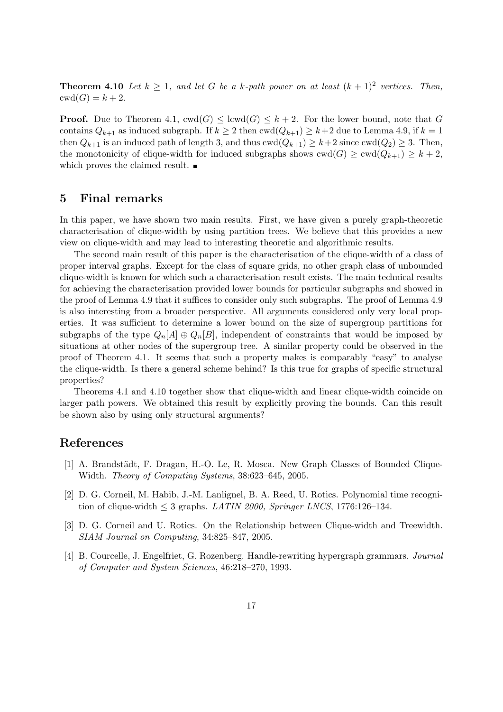**Theorem 4.10** *Let*  $k \geq 1$ , and let G be a k-path power on at least  $(k+1)^2$  vertices. Then,  $\text{cwd}(G) = k + 2.$ 

**Proof.** Due to Theorem 4.1,  $\text{cwd}(G) \leq \text{lcwd}(G) \leq k+2$ . For the lower bound, note that *G* contains  $Q_{k+1}$  as induced subgraph. If  $k \geq 2$  then  $\text{cwd}(Q_{k+1}) \geq k+2$  due to Lemma 4.9, if  $k=1$ then  $Q_{k+1}$  is an induced path of length 3, and thus  $\text{cwd}(Q_{k+1}) \geq k+2$  since  $\text{cwd}(Q_2) \geq 3$ . Then, the monotonicity of clique-width for induced subgraphs shows  $\text{cwd}(G) \geq \text{cwd}(Q_{k+1}) \geq k+2$ , which proves the claimed result.  $\blacksquare$ 

### **5 Final remarks**

In this paper, we have shown two main results. First, we have given a purely graph-theoretic characterisation of clique-width by using partition trees. We believe that this provides a new view on clique-width and may lead to interesting theoretic and algorithmic results.

The second main result of this paper is the characterisation of the clique-width of a class of proper interval graphs. Except for the class of square grids, no other graph class of unbounded clique-width is known for which such a characterisation result exists. The main technical results for achieving the characterisation provided lower bounds for particular subgraphs and showed in the proof of Lemma 4.9 that it suffices to consider only such subgraphs. The proof of Lemma 4.9 is also interesting from a broader perspective. All arguments considered only very local properties. It was sufficient to determine a lower bound on the size of supergroup partitions for subgraphs of the type  $Q_n[A] \oplus Q_n[B]$ , independent of constraints that would be imposed by situations at other nodes of the supergroup tree. A similar property could be observed in the proof of Theorem 4.1. It seems that such a property makes is comparably "easy" to analyse the clique-width. Is there a general scheme behind? Is this true for graphs of specific structural properties?

Theorems 4.1 and 4.10 together show that clique-width and linear clique-width coincide on larger path powers. We obtained this result by explicitly proving the bounds. Can this result be shown also by using only structural arguments?

## **References**

- [1] A. Brandstädt, F. Dragan, H.-O. Le, R. Mosca. New Graph Classes of Bounded Clique-Width. *Theory of Computing Systems*, 38:623–645, 2005.
- [2] D. G. Corneil, M. Habib, J.-M. Lanlignel, B. A. Reed, U. Rotics. Polynomial time recognition of clique-width  $\leq$  3 graphs. *LATIN 2000, Springer LNCS*, 1776:126–134.
- [3] D. G. Corneil and U. Rotics. On the Relationship between Clique-width and Treewidth. *SIAM Journal on Computing*, 34:825–847, 2005.
- [4] B. Courcelle, J. Engelfriet, G. Rozenberg. Handle-rewriting hypergraph grammars. *Journal of Computer and System Sciences*, 46:218–270, 1993.